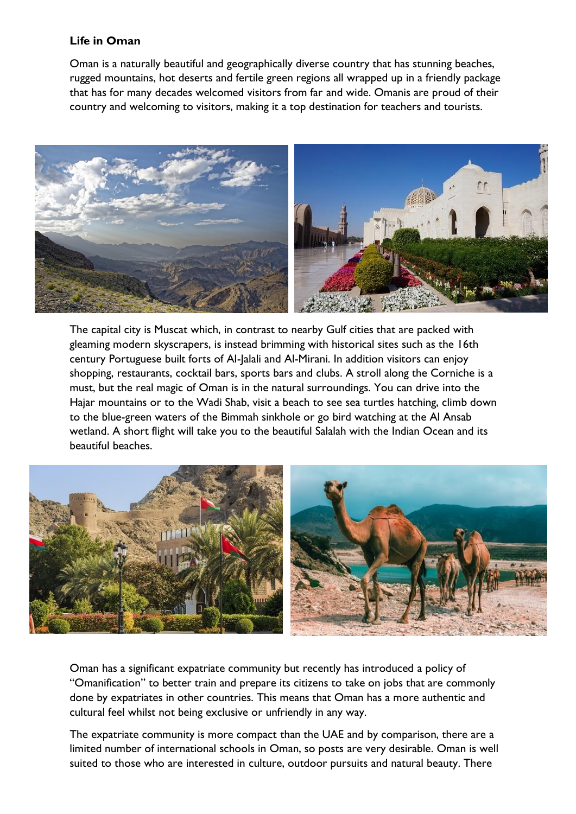## **Life in Oman**

Oman is a naturally beautiful and geographically diverse country that has stunning beaches, rugged mountains, hot deserts and fertile green regions all wrapped up in a friendly package that has for many decades welcomed visitors from far and wide. Omanis are proud of their country and welcoming to visitors, making it a top destination for teachers and tourists.



The capital city is Muscat which, in contrast to nearby Gulf cities that are packed with gleaming modern skyscrapers, is instead brimming with historical sites such as the 16th century Portuguese built forts of Al-Jalali and Al-Mirani. In addition visitors can enjoy shopping, restaurants, cocktail bars, sports bars and clubs. A stroll along the Corniche is a must, but the real magic of Oman is in the natural surroundings. You can drive into the Hajar mountains or to the Wadi Shab, visit a beach to see sea turtles hatching, climb down to the blue-green waters of the Bimmah sinkhole or go bird watching at the Al Ansab wetland. A short flight will take you to the beautiful Salalah with the Indian Ocean and its beautiful beaches.



Oman has a significant expatriate community but recently has introduced a policy of "Omanification" to better train and prepare its citizens to take on jobs that are commonly done by expatriates in other countries. This means that Oman has a more authentic and cultural feel whilst not being exclusive or unfriendly in any way.

The expatriate community is more compact than the UAE and by comparison, there are a limited number of international schools in Oman, so posts are very desirable. Oman is well suited to those who are interested in culture, outdoor pursuits and natural beauty. There